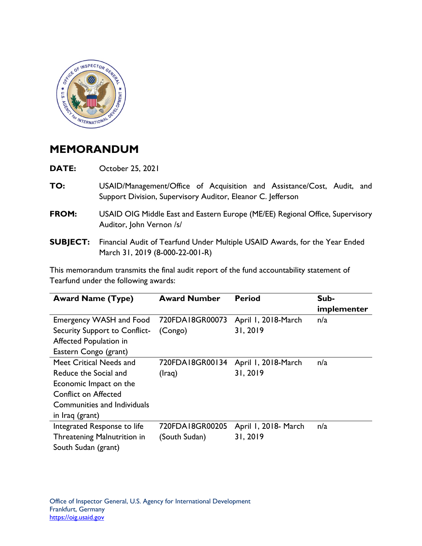

## **MEMORANDUM**

**DATE:** October 25, 2021

- **TO:** USAID/Management/Office of Acquisition and Assistance/Cost, Audit, and Support Division, Supervisory Auditor, Eleanor C. Jefferson
- Auditor, John Vernon /s/ **FROM:** USAID OIG Middle East and Eastern Europe (ME/EE) Regional Office, Supervisory
- **SUBJECT:** Financial Audit of Tearfund Under Multiple USAID Awards, for the Year Ended March 31, 2019 (8-000-22-001-R)

This memorandum transmits the final audit report of the fund accountability statement of Tearfund under the following awards:

| <b>Award Name (Type)</b>      | <b>Award Number</b> | <b>Period</b>        | Sub-<br>implementer |
|-------------------------------|---------------------|----------------------|---------------------|
| Emergency WASH and Food       | 720FDA18GR00073     | April 1, 2018-March  | n/a                 |
| Security Support to Conflict- | (Congo)             | 31, 2019             |                     |
| Affected Population in        |                     |                      |                     |
| Eastern Congo (grant)         |                     |                      |                     |
| Meet Critical Needs and       | 720FDA18GR00134     | April 1, 2018-March  | n/a                 |
| Reduce the Social and         | (Iraq)              | 31, 2019             |                     |
| Economic Impact on the        |                     |                      |                     |
| <b>Conflict on Affected</b>   |                     |                      |                     |
| Communities and Individuals   |                     |                      |                     |
| in Iraq (grant)               |                     |                      |                     |
| Integrated Response to life   | 720FDA18GR00205     | April 1, 2018- March | n/a                 |
| Threatening Malnutrition in   | (South Sudan)       | 31, 2019             |                     |
| South Sudan (grant)           |                     |                      |                     |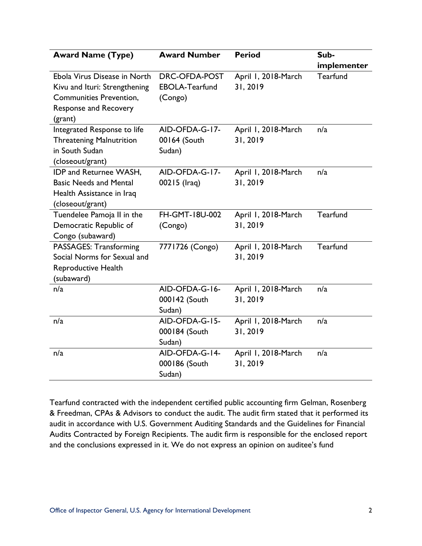| <b>Award Name (Type)</b>        | <b>Award Number</b>   | <b>Period</b>       | Sub-        |
|---------------------------------|-----------------------|---------------------|-------------|
|                                 |                       |                     | implementer |
| Ebola Virus Disease in North    | DRC-OFDA-POST         | April 1, 2018-March | Tearfund    |
| Kivu and Ituri: Strengthening   | <b>EBOLA-Tearfund</b> | 31, 2019            |             |
| <b>Communities Prevention,</b>  | (Congo)               |                     |             |
| <b>Response and Recovery</b>    |                       |                     |             |
| (grant)                         |                       |                     |             |
| Integrated Response to life     | AID-OFDA-G-17-        | April 1, 2018-March | n/a         |
| <b>Threatening Malnutrition</b> | 00164 (South          | 31, 2019            |             |
| in South Sudan                  | Sudan)                |                     |             |
| (closeout/grant)                |                       |                     |             |
| IDP and Returnee WASH,          | AID-OFDA-G-17-        | April 1, 2018-March | n/a         |
| <b>Basic Needs and Mental</b>   | 00215 (Iraq)          | 31, 2019            |             |
| Health Assistance in Iraq       |                       |                     |             |
| (closeout/grant)                |                       |                     |             |
| Tuendelee Pamoja II in the      | FH-GMT-18U-002        | April 1, 2018-March | Tearfund    |
| Democratic Republic of          | (Congo)               | 31, 2019            |             |
| Congo (subaward)                |                       |                     |             |
| PASSAGES: Transforming          | 7771726 (Congo)       | April 1, 2018-March | Tearfund    |
| Social Norms for Sexual and     |                       | 31, 2019            |             |
| Reproductive Health             |                       |                     |             |
| (subaward)                      |                       |                     |             |
| n/a                             | AID-OFDA-G-16-        | April 1, 2018-March | n/a         |
|                                 | 000142 (South         | 31, 2019            |             |
|                                 | Sudan)                |                     |             |
| n/a                             | AID-OFDA-G-15-        | April 1, 2018-March | n/a         |
|                                 | 000184 (South         | 31, 2019            |             |
|                                 | Sudan)                |                     |             |
| n/a                             | AID-OFDA-G-14-        | April 1, 2018-March | n/a         |
|                                 | 000186 (South         | 31, 2019            |             |
|                                 | Sudan)                |                     |             |

 and the conclusions expressed in it. We do not express an opinion on auditee's fund Tearfund contracted with the independent certified public accounting firm Gelman, Rosenberg & Freedman, CPAs & Advisors to conduct the audit. The audit firm stated that it performed its audit in accordance with U.S. Government Auditing Standards and the Guidelines for Financial Audits Contracted by Foreign Recipients. The audit firm is responsible for the enclosed report